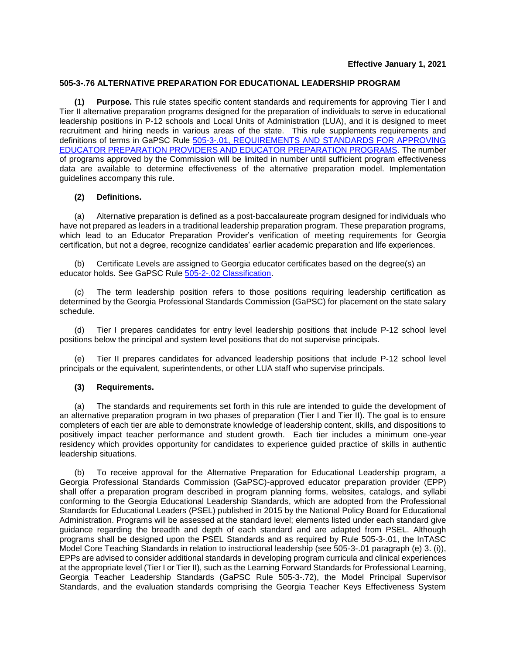## **505-3-.76 ALTERNATIVE PREPARATION FOR EDUCATIONAL LEADERSHIP PROGRAM**

**(1) Purpose.** This rule states specific content standards and requirements for approving Tier I and Tier II alternative preparation programs designed for the preparation of individuals to serve in educational leadership positions in P-12 schools and Local Units of Administration (LUA), and it is designed to meet recruitment and hiring needs in various areas of the state. This rule supplements requirements and definitions of terms in GaPSC [Rule 505-3-.01, REQUIREMENTS AND STANDARDS FOR APPROVING](https://www.gapsc.com/Rules/Current/EducatorPreparation/505-3-.01.pdf?dt=%3C%25#Eval()  [EDUCATOR PREPARATION PROVIDERS AND EDUCATOR PREPARATION PROGRAMS.](https://www.gapsc.com/Rules/Current/EducatorPreparation/505-3-.01.pdf?dt=%3C%25#Eval() The number of programs approved by the Commission will be limited in number until sufficient program effectiveness data are available to determine effectiveness of the alternative preparation model. Implementation guidelines accompany this rule.

## **(2) Definitions.**

(a) Alternative preparation is defined as a post-baccalaureate program designed for individuals who have not prepared as leaders in a traditional leadership preparation program. These preparation programs, which lead to an Educator Preparation Provider's verification of meeting requirements for Georgia certification, but not a degree, recognize candidates' earlier academic preparation and life experiences.

(b) Certificate Levels are assigned to Georgia educator certificates based on the degree(s) an educator holds. See GaPSC Rule [505-2-.02 Classification.](https://www.gapsc.com/Rules/Current/Certification/505-2-.02.pdf?dt=%3C%25#Eval()

(c) The term leadership position refers to those positions requiring leadership certification as determined by the Georgia Professional Standards Commission (GaPSC) for placement on the state salary schedule.

(d) Tier I prepares candidates for entry level leadership positions that include P-12 school level positions below the principal and system level positions that do not supervise principals.

(e) Tier II prepares candidates for advanced leadership positions that include P-12 school level principals or the equivalent, superintendents, or other LUA staff who supervise principals.

## **(3) Requirements.**

(a) The standards and requirements set forth in this rule are intended to guide the development of an alternative preparation program in two phases of preparation (Tier I and Tier II). The goal is to ensure completers of each tier are able to demonstrate knowledge of leadership content, skills, and dispositions to positively impact teacher performance and student growth. Each tier includes a minimum one-year residency which provides opportunity for candidates to experience guided practice of skills in authentic leadership situations.

To receive approval for the Alternative Preparation for Educational Leadership program, a Georgia Professional Standards Commission (GaPSC)-approved educator preparation provider (EPP) shall offer a preparation program described in program planning forms, websites, catalogs, and syllabi conforming to the Georgia Educational Leadership Standards, which are adopted from the Professional Standards for Educational Leaders (PSEL) published in 2015 by the National Policy Board for Educational Administration. Programs will be assessed at the standard level; elements listed under each standard give guidance regarding the breadth and depth of each standard and are adapted from PSEL. Although programs shall be designed upon the PSEL Standards and as required by Rule 505-3-.01, the InTASC Model Core Teaching Standards in relation to instructional leadership (see 505-3-.01 paragraph (e) 3. (i)), EPPs are advised to consider additional standards in developing program curricula and clinical experiences at the appropriate level (Tier I or Tier II), such as the Learning Forward Standards for Professional Learning, Georgia Teacher Leadership Standards (GaPSC Rule 505-3-.72), the Model Principal Supervisor Standards, and the evaluation standards comprising the Georgia Teacher Keys Effectiveness System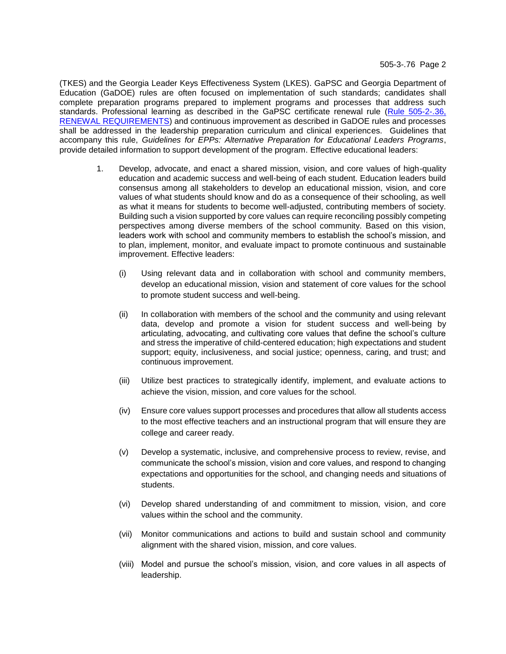(TKES) and the Georgia Leader Keys Effectiveness System (LKES). GaPSC and Georgia Department of Education (GaDOE) rules are often focused on implementation of such standards; candidates shall complete preparation programs prepared to implement programs and processes that address such standards. Professional learning as described in the GaPSC certificate renewal rule (Rule 505-2-.36, [RENEWAL REQUIREMENTS\)](https://www.gapsc.com/Rules/Current/Certification/505-2-.36.pdf?dt=%3C%25#Eval() and continuous improvement as described in GaDOE rules and processes shall be addressed in the leadership preparation curriculum and clinical experiences. Guidelines that accompany this rule, *Guidelines for EPPs: Alternative Preparation for Educational Leaders Programs*, provide detailed information to support development of the program. Effective educational leaders:

- 1. Develop, advocate, and enact a shared mission, vision, and core values of high-quality education and academic success and well-being of each student. Education leaders build consensus among all stakeholders to develop an educational mission, vision, and core values of what students should know and do as a consequence of their schooling, as well as what it means for students to become well-adjusted, contributing members of society. Building such a vision supported by core values can require reconciling possibly competing perspectives among diverse members of the school community. Based on this vision, leaders work with school and community members to establish the school's mission, and to plan, implement, monitor, and evaluate impact to promote continuous and sustainable improvement. Effective leaders:
	- (i) Using relevant data and in collaboration with school and community members, develop an educational mission, vision and statement of core values for the school to promote student success and well-being.
	- (ii) In collaboration with members of the school and the community and using relevant data, develop and promote a vision for student success and well-being by articulating, advocating, and cultivating core values that define the school's culture and stress the imperative of child-centered education; high expectations and student support; equity, inclusiveness, and social justice; openness, caring, and trust; and continuous improvement.
	- (iii) Utilize best practices to strategically identify, implement, and evaluate actions to achieve the vision, mission, and core values for the school.
	- (iv) Ensure core values support processes and procedures that allow all students access to the most effective teachers and an instructional program that will ensure they are college and career ready.
	- (v) Develop a systematic, inclusive, and comprehensive process to review, revise, and communicate the school's mission, vision and core values, and respond to changing expectations and opportunities for the school, and changing needs and situations of students.
	- (vi) Develop shared understanding of and commitment to mission, vision, and core values within the school and the community.
	- (vii) Monitor communications and actions to build and sustain school and community alignment with the shared vision, mission, and core values.
	- (viii) Model and pursue the school's mission, vision, and core values in all aspects of leadership.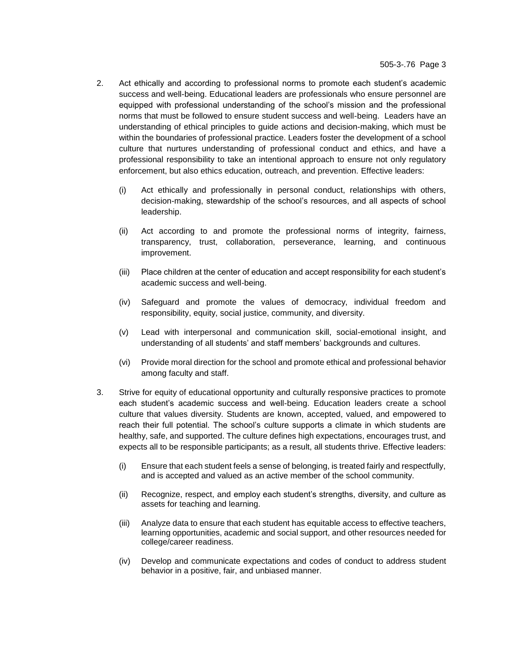- 2. Act ethically and according to professional norms to promote each student's academic success and well-being. Educational leaders are professionals who ensure personnel are equipped with professional understanding of the school's mission and the professional norms that must be followed to ensure student success and well-being. Leaders have an understanding of ethical principles to guide actions and decision-making, which must be within the boundaries of professional practice. Leaders foster the development of a school culture that nurtures understanding of professional conduct and ethics, and have a professional responsibility to take an intentional approach to ensure not only regulatory enforcement, but also ethics education, outreach, and prevention. Effective leaders:
	- (i) Act ethically and professionally in personal conduct, relationships with others, decision-making, stewardship of the school's resources, and all aspects of school leadership.
	- (ii) Act according to and promote the professional norms of integrity, fairness, transparency, trust, collaboration, perseverance, learning, and continuous improvement.
	- (iii) Place children at the center of education and accept responsibility for each student's academic success and well-being.
	- (iv) Safeguard and promote the values of democracy, individual freedom and responsibility, equity, social justice, community, and diversity.
	- (v) Lead with interpersonal and communication skill, social-emotional insight, and understanding of all students' and staff members' backgrounds and cultures.
	- (vi) Provide moral direction for the school and promote ethical and professional behavior among faculty and staff.
- 3. Strive for equity of educational opportunity and culturally responsive practices to promote each student's academic success and well-being. Education leaders create a school culture that values diversity. Students are known, accepted, valued, and empowered to reach their full potential. The school's culture supports a climate in which students are healthy, safe, and supported. The culture defines high expectations, encourages trust, and expects all to be responsible participants; as a result, all students thrive. Effective leaders:
	- (i) Ensure that each student feels a sense of belonging, is treated fairly and respectfully, and is accepted and valued as an active member of the school community.
	- (ii) Recognize, respect, and employ each student's strengths, diversity, and culture as assets for teaching and learning.
	- (iii) Analyze data to ensure that each student has equitable access to effective teachers, learning opportunities, academic and social support, and other resources needed for college/career readiness.
	- (iv) Develop and communicate expectations and codes of conduct to address student behavior in a positive, fair, and unbiased manner.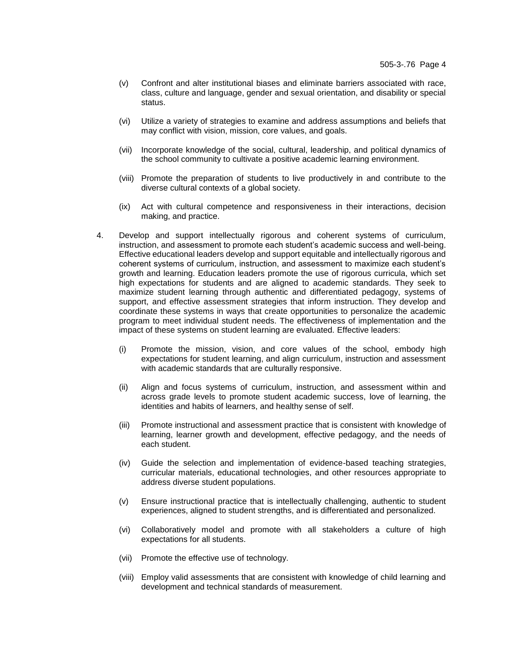- (v) Confront and alter institutional biases and eliminate barriers associated with race, class, culture and language, gender and sexual orientation, and disability or special status.
- (vi) Utilize a variety of strategies to examine and address assumptions and beliefs that may conflict with vision, mission, core values, and goals.
- (vii) Incorporate knowledge of the social, cultural, leadership, and political dynamics of the school community to cultivate a positive academic learning environment.
- (viii) Promote the preparation of students to live productively in and contribute to the diverse cultural contexts of a global society.
- (ix) Act with cultural competence and responsiveness in their interactions, decision making, and practice.
- 4. Develop and support intellectually rigorous and coherent systems of curriculum, instruction, and assessment to promote each student's academic success and well-being. Effective educational leaders develop and support equitable and intellectually rigorous and coherent systems of curriculum, instruction, and assessment to maximize each student's growth and learning. Education leaders promote the use of rigorous curricula, which set high expectations for students and are aligned to academic standards. They seek to maximize student learning through authentic and differentiated pedagogy, systems of support, and effective assessment strategies that inform instruction. They develop and coordinate these systems in ways that create opportunities to personalize the academic program to meet individual student needs. The effectiveness of implementation and the impact of these systems on student learning are evaluated. Effective leaders:
	- (i) Promote the mission, vision, and core values of the school, embody high expectations for student learning, and align curriculum, instruction and assessment with academic standards that are culturally responsive.
	- (ii) Align and focus systems of curriculum, instruction, and assessment within and across grade levels to promote student academic success, love of learning, the identities and habits of learners, and healthy sense of self.
	- (iii) Promote instructional and assessment practice that is consistent with knowledge of learning, learner growth and development, effective pedagogy, and the needs of each student.
	- (iv) Guide the selection and implementation of evidence-based teaching strategies, curricular materials, educational technologies, and other resources appropriate to address diverse student populations.
	- (v) Ensure instructional practice that is intellectually challenging, authentic to student experiences, aligned to student strengths, and is differentiated and personalized.
	- (vi) Collaboratively model and promote with all stakeholders a culture of high expectations for all students.
	- (vii) Promote the effective use of technology.
	- (viii) Employ valid assessments that are consistent with knowledge of child learning and development and technical standards of measurement.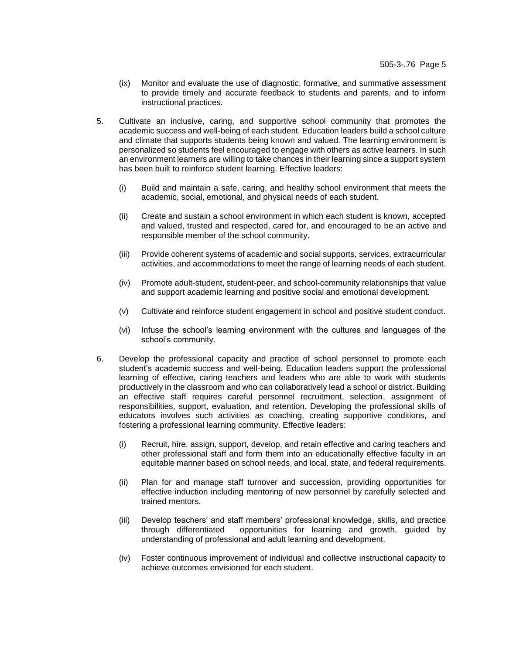- (ix) Monitor and evaluate the use of diagnostic, formative, and summative assessment to provide timely and accurate feedback to students and parents, and to inform instructional practices.
- 5. Cultivate an inclusive, caring, and supportive school community that promotes the academic success and well-being of each student. Education leaders build a school culture and climate that supports students being known and valued. The learning environment is personalized so students feel encouraged to engage with others as active learners. In such an environment learners are willing to take chances in their learning since a support system has been built to reinforce student learning. Effective leaders:
	- (i) Build and maintain a safe, caring, and healthy school environment that meets the academic, social, emotional, and physical needs of each student.
	- (ii) Create and sustain a school environment in which each student is known, accepted and valued, trusted and respected, cared for, and encouraged to be an active and responsible member of the school community.
	- (iii) Provide coherent systems of academic and social supports, services, extracurricular activities, and accommodations to meet the range of learning needs of each student.
	- (iv) Promote adult-student, student-peer, and school-community relationships that value and support academic learning and positive social and emotional development.
	- (v) Cultivate and reinforce student engagement in school and positive student conduct.
	- (vi) Infuse the school's learning environment with the cultures and languages of the school's community.
- 6. Develop the professional capacity and practice of school personnel to promote each student's academic success and well-being. Education leaders support the professional learning of effective, caring teachers and leaders who are able to work with students productively in the classroom and who can collaboratively lead a school or district. Building an effective staff requires careful personnel recruitment, selection, assignment of responsibilities, support, evaluation, and retention. Developing the professional skills of educators involves such activities as coaching, creating supportive conditions, and fostering a professional learning community. Effective leaders:
	- (i) Recruit, hire, assign, support, develop, and retain effective and caring teachers and other professional staff and form them into an educationally effective faculty in an equitable manner based on school needs, and local, state, and federal requirements.
	- (ii) Plan for and manage staff turnover and succession, providing opportunities for effective induction including mentoring of new personnel by carefully selected and trained mentors.
	- (iii) Develop teachers' and staff members' professional knowledge, skills, and practice through differentiated opportunities for learning and growth, guided by understanding of professional and adult learning and development.
	- (iv) Foster continuous improvement of individual and collective instructional capacity to achieve outcomes envisioned for each student.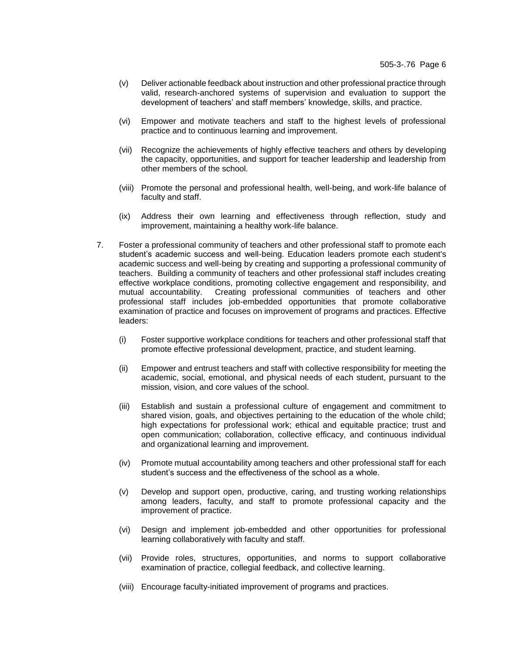- (v) Deliver actionable feedback about instruction and other professional practice through valid, research-anchored systems of supervision and evaluation to support the development of teachers' and staff members' knowledge, skills, and practice.
- (vi) Empower and motivate teachers and staff to the highest levels of professional practice and to continuous learning and improvement.
- (vii) Recognize the achievements of highly effective teachers and others by developing the capacity, opportunities, and support for teacher leadership and leadership from other members of the school.
- (viii) Promote the personal and professional health, well-being, and work-life balance of faculty and staff.
- (ix) Address their own learning and effectiveness through reflection, study and improvement, maintaining a healthy work-life balance.
- 7. Foster a professional community of teachers and other professional staff to promote each student's academic success and well-being. Education leaders promote each student's academic success and well-being by creating and supporting a professional community of teachers. Building a community of teachers and other professional staff includes creating effective workplace conditions, promoting collective engagement and responsibility, and mutual accountability. Creating professional communities of teachers and other professional staff includes job-embedded opportunities that promote collaborative examination of practice and focuses on improvement of programs and practices. Effective leaders:
	- (i) Foster supportive workplace conditions for teachers and other professional staff that promote effective professional development, practice, and student learning.
	- (ii) Empower and entrust teachers and staff with collective responsibility for meeting the academic, social, emotional, and physical needs of each student, pursuant to the mission, vision, and core values of the school.
	- (iii) Establish and sustain a professional culture of engagement and commitment to shared vision, goals, and objectives pertaining to the education of the whole child; high expectations for professional work; ethical and equitable practice; trust and open communication; collaboration, collective efficacy, and continuous individual and organizational learning and improvement.
	- (iv) Promote mutual accountability among teachers and other professional staff for each student's success and the effectiveness of the school as a whole.
	- (v) Develop and support open, productive, caring, and trusting working relationships among leaders, faculty, and staff to promote professional capacity and the improvement of practice.
	- (vi) Design and implement job-embedded and other opportunities for professional learning collaboratively with faculty and staff.
	- (vii) Provide roles, structures, opportunities, and norms to support collaborative examination of practice, collegial feedback, and collective learning.
	- (viii) Encourage faculty-initiated improvement of programs and practices.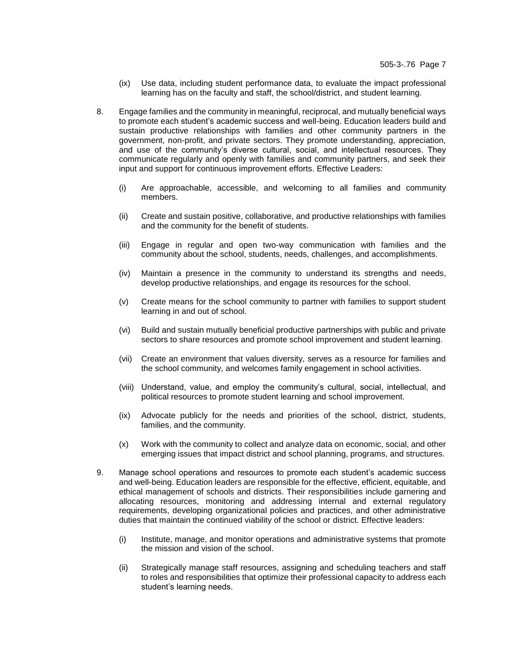- (ix) Use data, including student performance data, to evaluate the impact professional learning has on the faculty and staff, the school/district, and student learning.
- 8. Engage families and the community in meaningful, reciprocal, and mutually beneficial ways to promote each student's academic success and well-being. Education leaders build and sustain productive relationships with families and other community partners in the government, non-profit, and private sectors. They promote understanding, appreciation, and use of the community's diverse cultural, social, and intellectual resources. They communicate regularly and openly with families and community partners, and seek their input and support for continuous improvement efforts. Effective Leaders:
	- (i) Are approachable, accessible, and welcoming to all families and community members.
	- (ii) Create and sustain positive, collaborative, and productive relationships with families and the community for the benefit of students.
	- (iii) Engage in regular and open two-way communication with families and the community about the school, students, needs, challenges, and accomplishments.
	- (iv) Maintain a presence in the community to understand its strengths and needs, develop productive relationships, and engage its resources for the school.
	- (v) Create means for the school community to partner with families to support student learning in and out of school.
	- (vi) Build and sustain mutually beneficial productive partnerships with public and private sectors to share resources and promote school improvement and student learning.
	- (vii) Create an environment that values diversity, serves as a resource for families and the school community, and welcomes family engagement in school activities.
	- (viii) Understand, value, and employ the community's cultural, social, intellectual, and political resources to promote student learning and school improvement.
	- (ix) Advocate publicly for the needs and priorities of the school, district, students, families, and the community.
	- (x) Work with the community to collect and analyze data on economic, social, and other emerging issues that impact district and school planning, programs, and structures.
- 9. Manage school operations and resources to promote each student's academic success and well-being. Education leaders are responsible for the effective, efficient, equitable, and ethical management of schools and districts. Their responsibilities include garnering and allocating resources, monitoring and addressing internal and external regulatory requirements, developing organizational policies and practices, and other administrative duties that maintain the continued viability of the school or district. Effective leaders:
	- (i) Institute, manage, and monitor operations and administrative systems that promote the mission and vision of the school.
	- (ii) Strategically manage staff resources, assigning and scheduling teachers and staff to roles and responsibilities that optimize their professional capacity to address each student's learning needs.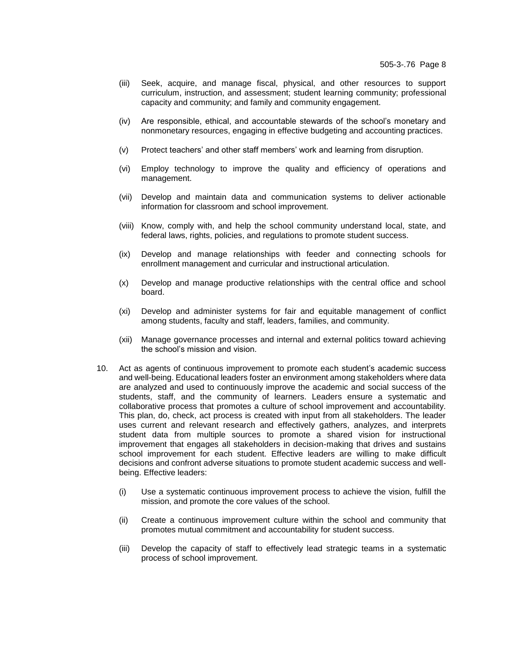- (iii) Seek, acquire, and manage fiscal, physical, and other resources to support curriculum, instruction, and assessment; student learning community; professional capacity and community; and family and community engagement.
- (iv) Are responsible, ethical, and accountable stewards of the school's monetary and nonmonetary resources, engaging in effective budgeting and accounting practices.
- (v) Protect teachers' and other staff members' work and learning from disruption.
- (vi) Employ technology to improve the quality and efficiency of operations and management.
- (vii) Develop and maintain data and communication systems to deliver actionable information for classroom and school improvement.
- (viii) Know, comply with, and help the school community understand local, state, and federal laws, rights, policies, and regulations to promote student success.
- (ix) Develop and manage relationships with feeder and connecting schools for enrollment management and curricular and instructional articulation.
- (x) Develop and manage productive relationships with the central office and school board.
- (xi) Develop and administer systems for fair and equitable management of conflict among students, faculty and staff, leaders, families, and community.
- (xii) Manage governance processes and internal and external politics toward achieving the school's mission and vision.
- 10. Act as agents of continuous improvement to promote each student's academic success and well-being. Educational leaders foster an environment among stakeholders where data are analyzed and used to continuously improve the academic and social success of the students, staff, and the community of learners. Leaders ensure a systematic and collaborative process that promotes a culture of school improvement and accountability. This plan, do, check, act process is created with input from all stakeholders. The leader uses current and relevant research and effectively gathers, analyzes, and interprets student data from multiple sources to promote a shared vision for instructional improvement that engages all stakeholders in decision-making that drives and sustains school improvement for each student. Effective leaders are willing to make difficult decisions and confront adverse situations to promote student academic success and wellbeing. Effective leaders:
	- (i) Use a systematic continuous improvement process to achieve the vision, fulfill the mission, and promote the core values of the school.
	- (ii) Create a continuous improvement culture within the school and community that promotes mutual commitment and accountability for student success.
	- (iii) Develop the capacity of staff to effectively lead strategic teams in a systematic process of school improvement.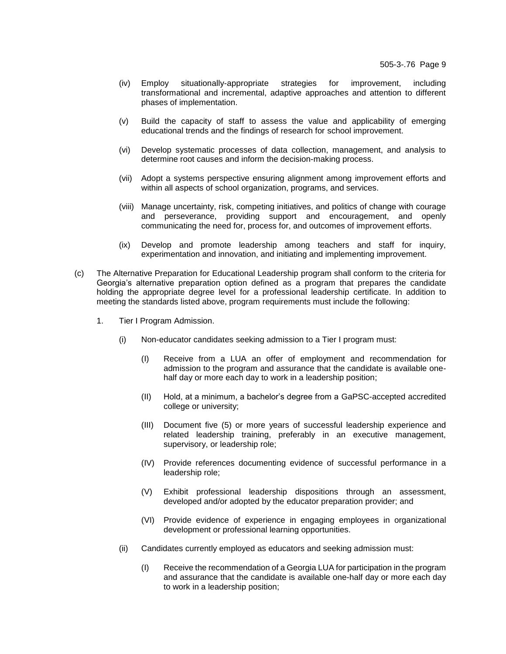- (iv) Employ situationally-appropriate strategies for improvement, including transformational and incremental, adaptive approaches and attention to different phases of implementation.
- (v) Build the capacity of staff to assess the value and applicability of emerging educational trends and the findings of research for school improvement.
- (vi) Develop systematic processes of data collection, management, and analysis to determine root causes and inform the decision-making process.
- (vii) Adopt a systems perspective ensuring alignment among improvement efforts and within all aspects of school organization, programs, and services.
- (viii) Manage uncertainty, risk, competing initiatives, and politics of change with courage and perseverance, providing support and encouragement, and openly communicating the need for, process for, and outcomes of improvement efforts.
- (ix) Develop and promote leadership among teachers and staff for inquiry, experimentation and innovation, and initiating and implementing improvement.
- (c) The Alternative Preparation for Educational Leadership program shall conform to the criteria for Georgia's alternative preparation option defined as a program that prepares the candidate holding the appropriate degree level for a professional leadership certificate. In addition to meeting the standards listed above, program requirements must include the following:
	- 1. Tier I Program Admission.
		- (i) Non-educator candidates seeking admission to a Tier I program must:
			- (I) Receive from a LUA an offer of employment and recommendation for admission to the program and assurance that the candidate is available onehalf day or more each day to work in a leadership position;
			- (II) Hold, at a minimum, a bachelor's degree from a GaPSC-accepted accredited college or university;
			- (III) Document five (5) or more years of successful leadership experience and related leadership training, preferably in an executive management, supervisory, or leadership role;
			- (IV) Provide references documenting evidence of successful performance in a leadership role;
			- (V) Exhibit professional leadership dispositions through an assessment, developed and/or adopted by the educator preparation provider; and
			- (VI) Provide evidence of experience in engaging employees in organizational development or professional learning opportunities.
		- (ii) Candidates currently employed as educators and seeking admission must:
			- (I) Receive the recommendation of a Georgia LUA for participation in the program and assurance that the candidate is available one-half day or more each day to work in a leadership position;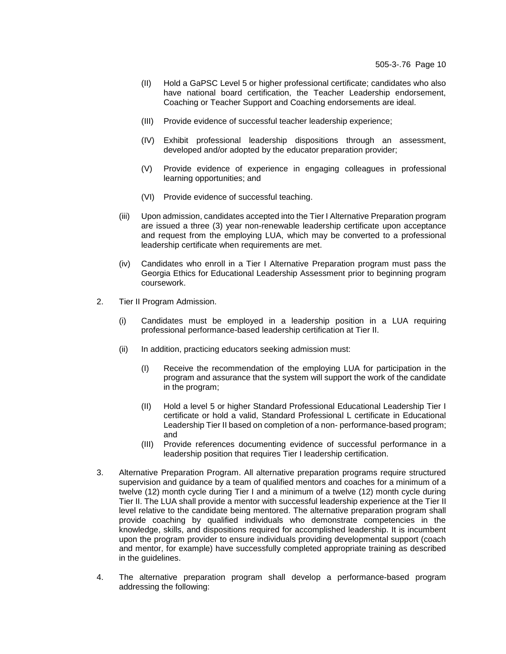- (II) Hold a GaPSC Level 5 or higher professional certificate; candidates who also have national board certification, the Teacher Leadership endorsement, Coaching or Teacher Support and Coaching endorsements are ideal.
- (III) Provide evidence of successful teacher leadership experience;
- (IV) Exhibit professional leadership dispositions through an assessment, developed and/or adopted by the educator preparation provider;
- (V) Provide evidence of experience in engaging colleagues in professional learning opportunities; and
- (VI) Provide evidence of successful teaching.
- (iii) Upon admission, candidates accepted into the Tier I Alternative Preparation program are issued a three (3) year non-renewable leadership certificate upon acceptance and request from the employing LUA, which may be converted to a professional leadership certificate when requirements are met.
- (iv) Candidates who enroll in a Tier I Alternative Preparation program must pass the Georgia Ethics for Educational Leadership Assessment prior to beginning program coursework.
- 2. Tier II Program Admission.
	- (i) Candidates must be employed in a leadership position in a LUA requiring professional performance-based leadership certification at Tier II.
	- (ii) In addition, practicing educators seeking admission must:
		- (I) Receive the recommendation of the employing LUA for participation in the program and assurance that the system will support the work of the candidate in the program;
		- (II) Hold a level 5 or higher Standard Professional Educational Leadership Tier I certificate or hold a valid, Standard Professional L certificate in Educational Leadership Tier II based on completion of a non- performance-based program; and
		- (III) Provide references documenting evidence of successful performance in a leadership position that requires Tier I leadership certification.
- 3. Alternative Preparation Program. All alternative preparation programs require structured supervision and guidance by a team of qualified mentors and coaches for a minimum of a twelve (12) month cycle during Tier I and a minimum of a twelve (12) month cycle during Tier II. The LUA shall provide a mentor with successful leadership experience at the Tier II level relative to the candidate being mentored. The alternative preparation program shall provide coaching by qualified individuals who demonstrate competencies in the knowledge, skills, and dispositions required for accomplished leadership. It is incumbent upon the program provider to ensure individuals providing developmental support (coach and mentor, for example) have successfully completed appropriate training as described in the guidelines.
- 4. The alternative preparation program shall develop a performance-based program addressing the following: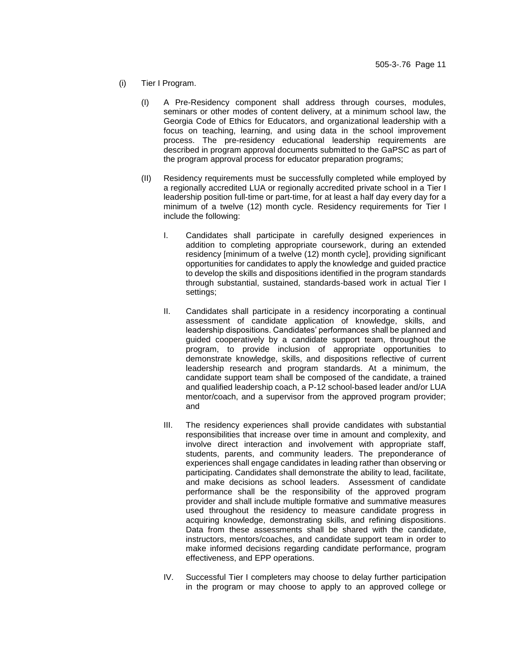- (i) Tier I Program.
	- (I) A Pre-Residency component shall address through courses, modules, seminars or other modes of content delivery, at a minimum school law, the Georgia Code of Ethics for Educators, and organizational leadership with a focus on teaching, learning, and using data in the school improvement process. The pre-residency educational leadership requirements are described in program approval documents submitted to the GaPSC as part of the program approval process for educator preparation programs;
	- (II) Residency requirements must be successfully completed while employed by a regionally accredited LUA or regionally accredited private school in a Tier I leadership position full-time or part-time, for at least a half day every day for a minimum of a twelve (12) month cycle. Residency requirements for Tier I include the following:
		- I. Candidates shall participate in carefully designed experiences in addition to completing appropriate coursework, during an extended residency [minimum of a twelve (12) month cycle], providing significant opportunities for candidates to apply the knowledge and guided practice to develop the skills and dispositions identified in the program standards through substantial, sustained, standards-based work in actual Tier I settings;
		- II. Candidates shall participate in a residency incorporating a continual assessment of candidate application of knowledge, skills, and leadership dispositions. Candidates' performances shall be planned and guided cooperatively by a candidate support team, throughout the program, to provide inclusion of appropriate opportunities to demonstrate knowledge, skills, and dispositions reflective of current leadership research and program standards. At a minimum, the candidate support team shall be composed of the candidate, a trained and qualified leadership coach, a P-12 school-based leader and/or LUA mentor/coach, and a supervisor from the approved program provider; and
		- III. The residency experiences shall provide candidates with substantial responsibilities that increase over time in amount and complexity, and involve direct interaction and involvement with appropriate staff, students, parents, and community leaders. The preponderance of experiences shall engage candidates in leading rather than observing or participating. Candidates shall demonstrate the ability to lead, facilitate, and make decisions as school leaders. Assessment of candidate performance shall be the responsibility of the approved program provider and shall include multiple formative and summative measures used throughout the residency to measure candidate progress in acquiring knowledge, demonstrating skills, and refining dispositions. Data from these assessments shall be shared with the candidate, instructors, mentors/coaches, and candidate support team in order to make informed decisions regarding candidate performance, program effectiveness, and EPP operations.
		- IV. Successful Tier I completers may choose to delay further participation in the program or may choose to apply to an approved college or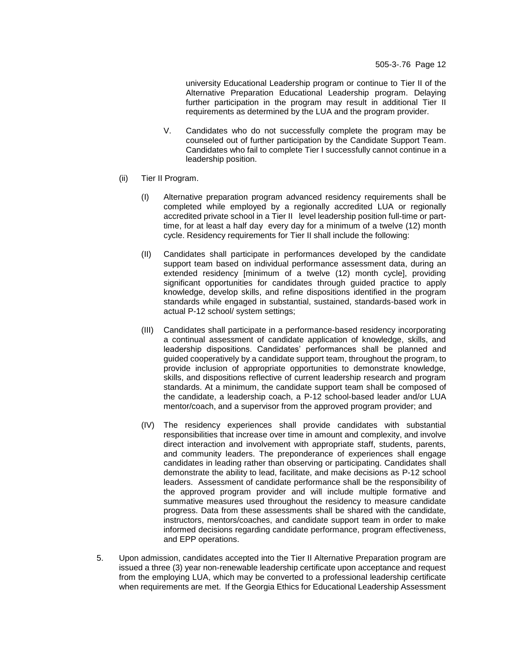university Educational Leadership program or continue to Tier II of the Alternative Preparation Educational Leadership program. Delaying further participation in the program may result in additional Tier II requirements as determined by the LUA and the program provider.

- V. Candidates who do not successfully complete the program may be counseled out of further participation by the Candidate Support Team. Candidates who fail to complete Tier I successfully cannot continue in a leadership position.
- (ii) Tier II Program.
	- (I) Alternative preparation program advanced residency requirements shall be completed while employed by a regionally accredited LUA or regionally accredited private school in a Tier II level leadership position full-time or parttime, for at least a half day every day for a minimum of a twelve (12) month cycle. Residency requirements for Tier II shall include the following:
	- (II) Candidates shall participate in performances developed by the candidate support team based on individual performance assessment data, during an extended residency [minimum of a twelve (12) month cycle], providing significant opportunities for candidates through guided practice to apply knowledge, develop skills, and refine dispositions identified in the program standards while engaged in substantial, sustained, standards-based work in actual P-12 school/ system settings;
	- (III) Candidates shall participate in a performance-based residency incorporating a continual assessment of candidate application of knowledge, skills, and leadership dispositions. Candidates' performances shall be planned and guided cooperatively by a candidate support team, throughout the program, to provide inclusion of appropriate opportunities to demonstrate knowledge, skills, and dispositions reflective of current leadership research and program standards. At a minimum, the candidate support team shall be composed of the candidate, a leadership coach, a P-12 school-based leader and/or LUA mentor/coach, and a supervisor from the approved program provider; and
	- (IV) The residency experiences shall provide candidates with substantial responsibilities that increase over time in amount and complexity, and involve direct interaction and involvement with appropriate staff, students, parents, and community leaders. The preponderance of experiences shall engage candidates in leading rather than observing or participating. Candidates shall demonstrate the ability to lead, facilitate, and make decisions as P-12 school leaders. Assessment of candidate performance shall be the responsibility of the approved program provider and will include multiple formative and summative measures used throughout the residency to measure candidate progress. Data from these assessments shall be shared with the candidate, instructors, mentors/coaches, and candidate support team in order to make informed decisions regarding candidate performance, program effectiveness, and EPP operations.
- 5. Upon admission, candidates accepted into the Tier II Alternative Preparation program are issued a three (3) year non-renewable leadership certificate upon acceptance and request from the employing LUA, which may be converted to a professional leadership certificate when requirements are met. If the Georgia Ethics for Educational Leadership Assessment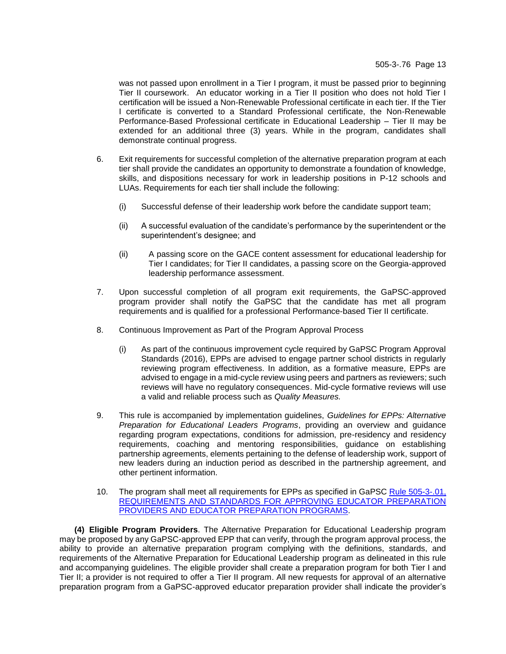was not passed upon enrollment in a Tier I program, it must be passed prior to beginning Tier II coursework. An educator working in a Tier II position who does not hold Tier I certification will be issued a Non-Renewable Professional certificate in each tier. If the Tier I certificate is converted to a Standard Professional certificate, the Non-Renewable Performance-Based Professional certificate in Educational Leadership – Tier II may be extended for an additional three (3) years. While in the program, candidates shall demonstrate continual progress.

- 6. Exit requirements for successful completion of the alternative preparation program at each tier shall provide the candidates an opportunity to demonstrate a foundation of knowledge, skills, and dispositions necessary for work in leadership positions in P-12 schools and LUAs. Requirements for each tier shall include the following:
	- (i) Successful defense of their leadership work before the candidate support team;
	- (ii) A successful evaluation of the candidate's performance by the superintendent or the superintendent's designee; and
	- (ii) A passing score on the GACE content assessment for educational leadership for Tier I candidates; for Tier II candidates, a passing score on the Georgia-approved leadership performance assessment.
- 7. Upon successful completion of all program exit requirements, the GaPSC-approved program provider shall notify the GaPSC that the candidate has met all program requirements and is qualified for a professional Performance-based Tier II certificate.
- 8. Continuous Improvement as Part of the Program Approval Process
	- (i) As part of the continuous improvement cycle required by GaPSC Program Approval Standards (2016), EPPs are advised to engage partner school districts in regularly reviewing program effectiveness. In addition, as a formative measure, EPPs are advised to engage in a mid-cycle review using peers and partners as reviewers; such reviews will have no regulatory consequences. Mid-cycle formative reviews will use a valid and reliable process such as *Quality Measures.*
- 9. This rule is accompanied by implementation guidelines, *Guidelines for EPPs: Alternative Preparation for Educational Leaders Programs*, providing an overview and guidance regarding program expectations, conditions for admission, pre-residency and residency requirements, coaching and mentoring responsibilities, guidance on establishing partnership agreements, elements pertaining to the defense of leadership work, support of new leaders during an induction period as described in the partnership agreement, and other pertinent information.
- 10. The program shall meet all requirements for EPPs as specified in [GaPSC Rule 505-3-.01,](https://www.gapsc.com/Rules/Current/EducatorPreparation/505-3-.01.pdf?dt=%3C%25#Eval()  [REQUIREMENTS AND STANDARDS FOR APPROVING EDUCATOR PREPARATION](https://www.gapsc.com/Rules/Current/EducatorPreparation/505-3-.01.pdf?dt=%3C%25#Eval()  [PROVIDERS AND EDUCATOR PREPARATION PROGRAMS.](https://www.gapsc.com/Rules/Current/EducatorPreparation/505-3-.01.pdf?dt=%3C%25#Eval()

**(4) Eligible Program Providers**. The Alternative Preparation for Educational Leadership program may be proposed by any GaPSC-approved EPP that can verify, through the program approval process, the ability to provide an alternative preparation program complying with the definitions, standards, and requirements of the Alternative Preparation for Educational Leadership program as delineated in this rule and accompanying guidelines. The eligible provider shall create a preparation program for both Tier I and Tier II; a provider is not required to offer a Tier II program. All new requests for approval of an alternative preparation program from a GaPSC-approved educator preparation provider shall indicate the provider's